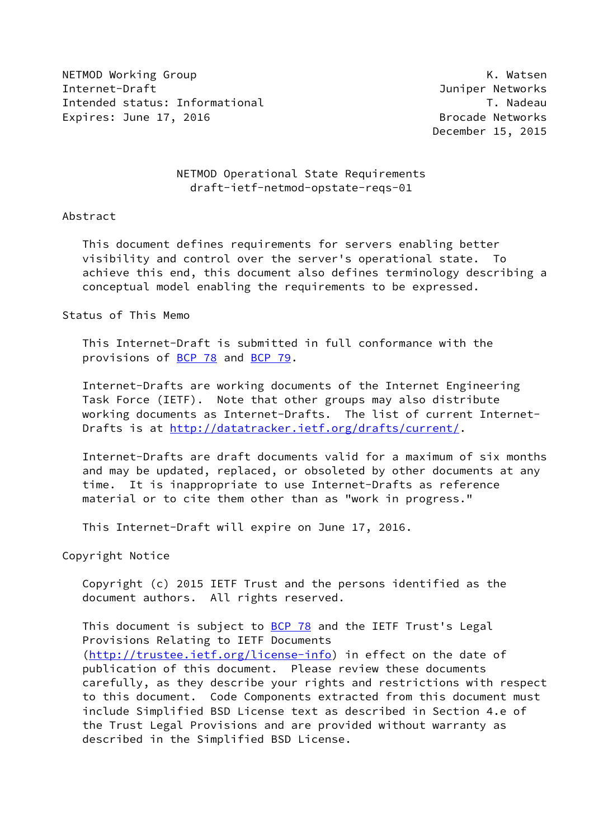NETMOD Working Group No. 2008 Network and the United States of the United States of the United States of the U Internet-Draft Juniper Networks Intended status: Informational T. Nadeau Expires: June 17, 2016 **Brocade Networks** 

December 15, 2015

# NETMOD Operational State Requirements draft-ietf-netmod-opstate-reqs-01

## Abstract

 This document defines requirements for servers enabling better visibility and control over the server's operational state. To achieve this end, this document also defines terminology describing a conceptual model enabling the requirements to be expressed.

#### Status of This Memo

 This Internet-Draft is submitted in full conformance with the provisions of [BCP 78](https://datatracker.ietf.org/doc/pdf/bcp78) and [BCP 79](https://datatracker.ietf.org/doc/pdf/bcp79).

 Internet-Drafts are working documents of the Internet Engineering Task Force (IETF). Note that other groups may also distribute working documents as Internet-Drafts. The list of current Internet- Drafts is at<http://datatracker.ietf.org/drafts/current/>.

 Internet-Drafts are draft documents valid for a maximum of six months and may be updated, replaced, or obsoleted by other documents at any time. It is inappropriate to use Internet-Drafts as reference material or to cite them other than as "work in progress."

This Internet-Draft will expire on June 17, 2016.

Copyright Notice

 Copyright (c) 2015 IETF Trust and the persons identified as the document authors. All rights reserved.

This document is subject to **[BCP 78](https://datatracker.ietf.org/doc/pdf/bcp78)** and the IETF Trust's Legal Provisions Relating to IETF Documents [\(http://trustee.ietf.org/license-info](http://trustee.ietf.org/license-info)) in effect on the date of publication of this document. Please review these documents carefully, as they describe your rights and restrictions with respect to this document. Code Components extracted from this document must include Simplified BSD License text as described in Section 4.e of the Trust Legal Provisions and are provided without warranty as described in the Simplified BSD License.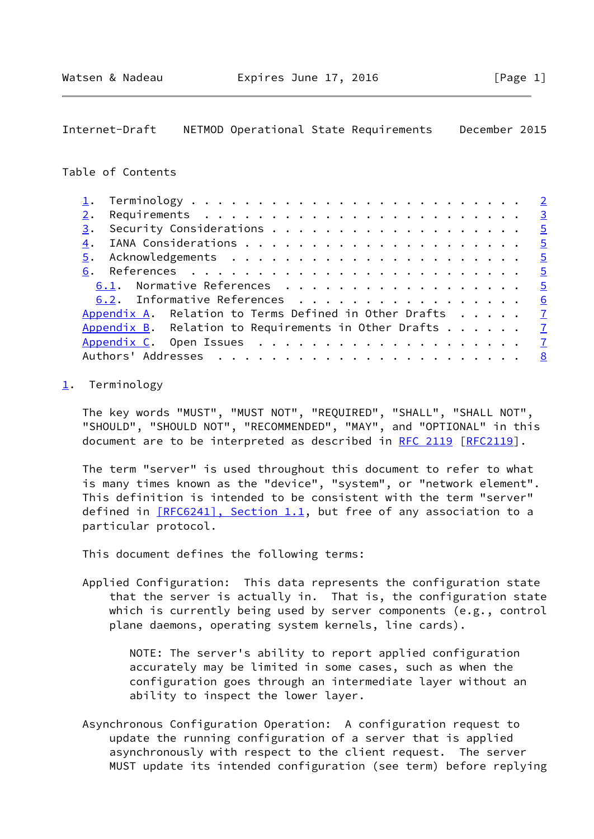## <span id="page-1-1"></span>Internet-Draft NETMOD Operational State Requirements December 2015

# Table of Contents

| 2.                                                              |  |  |                |
|-----------------------------------------------------------------|--|--|----------------|
| 3.                                                              |  |  |                |
|                                                                 |  |  |                |
|                                                                 |  |  |                |
|                                                                 |  |  |                |
| 6.1. Normative References 5                                     |  |  |                |
| 6.2. Informative References 6                                   |  |  |                |
| Appendix A. Relation to Terms Defined in Other Drafts $\dots$ 7 |  |  |                |
| Appendix B. Relation to Requirements in Other Drafts $\dots$ 7  |  |  |                |
|                                                                 |  |  | $\overline{7}$ |
|                                                                 |  |  |                |

#### <span id="page-1-0"></span>[1](#page-1-0). Terminology

 The key words "MUST", "MUST NOT", "REQUIRED", "SHALL", "SHALL NOT", "SHOULD", "SHOULD NOT", "RECOMMENDED", "MAY", and "OPTIONAL" in this document are to be interpreted as described in [RFC 2119 \[RFC2119](https://datatracker.ietf.org/doc/pdf/rfc2119)].

 The term "server" is used throughout this document to refer to what is many times known as the "device", "system", or "network element". This definition is intended to be consistent with the term "server" defined in  $[REC6241]$ , Section 1.1, but free of any association to a particular protocol.

This document defines the following terms:

 Applied Configuration: This data represents the configuration state that the server is actually in. That is, the configuration state which is currently being used by server components (e.g., control plane daemons, operating system kernels, line cards).

> NOTE: The server's ability to report applied configuration accurately may be limited in some cases, such as when the configuration goes through an intermediate layer without an ability to inspect the lower layer.

 Asynchronous Configuration Operation: A configuration request to update the running configuration of a server that is applied asynchronously with respect to the client request. The server MUST update its intended configuration (see term) before replying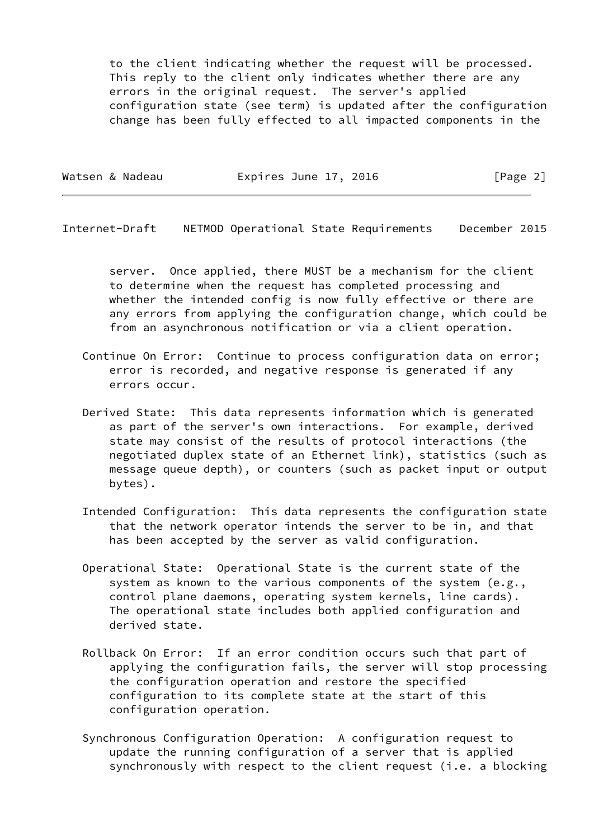to the client indicating whether the request will be processed. This reply to the client only indicates whether there are any errors in the original request. The server's applied configuration state (see term) is updated after the configuration change has been fully effected to all impacted components in the

| Expires June 17, 2016<br>Watsen & Nadeau | [Page 2] |  |
|------------------------------------------|----------|--|
|------------------------------------------|----------|--|

<span id="page-2-0"></span>Internet-Draft NETMOD Operational State Requirements December 2015

 server. Once applied, there MUST be a mechanism for the client to determine when the request has completed processing and whether the intended config is now fully effective or there are any errors from applying the configuration change, which could be from an asynchronous notification or via a client operation.

- Continue On Error: Continue to process configuration data on error; error is recorded, and negative response is generated if any errors occur.
- Derived State: This data represents information which is generated as part of the server's own interactions. For example, derived state may consist of the results of protocol interactions (the negotiated duplex state of an Ethernet link), statistics (such as message queue depth), or counters (such as packet input or output bytes).
- Intended Configuration: This data represents the configuration state that the network operator intends the server to be in, and that has been accepted by the server as valid configuration.
- Operational State: Operational State is the current state of the system as known to the various components of the system (e.g., control plane daemons, operating system kernels, line cards). The operational state includes both applied configuration and derived state.
- Rollback On Error: If an error condition occurs such that part of applying the configuration fails, the server will stop processing the configuration operation and restore the specified configuration to its complete state at the start of this configuration operation.
- Synchronous Configuration Operation: A configuration request to update the running configuration of a server that is applied synchronously with respect to the client request (i.e. a blocking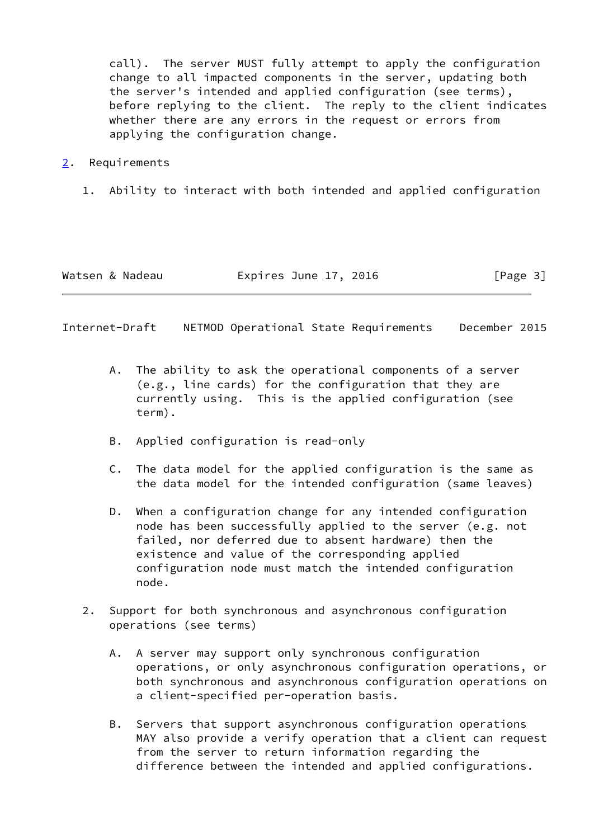call). The server MUST fully attempt to apply the configuration change to all impacted components in the server, updating both the server's intended and applied configuration (see terms), before replying to the client. The reply to the client indicates whether there are any errors in the request or errors from applying the configuration change.

- <span id="page-3-0"></span>[2](#page-3-0). Requirements
	- 1. Ability to interact with both intended and applied configuration

| Watsen & Nadeau | Expires June 17, 2016 | [Page 3] |
|-----------------|-----------------------|----------|
|-----------------|-----------------------|----------|

Internet-Draft NETMOD Operational State Requirements December 2015

- A. The ability to ask the operational components of a server (e.g., line cards) for the configuration that they are currently using. This is the applied configuration (see term).
- B. Applied configuration is read-only
- C. The data model for the applied configuration is the same as the data model for the intended configuration (same leaves)
- D. When a configuration change for any intended configuration node has been successfully applied to the server (e.g. not failed, nor deferred due to absent hardware) then the existence and value of the corresponding applied configuration node must match the intended configuration node.
- 2. Support for both synchronous and asynchronous configuration operations (see terms)
	- A. A server may support only synchronous configuration operations, or only asynchronous configuration operations, or both synchronous and asynchronous configuration operations on a client-specified per-operation basis.
	- B. Servers that support asynchronous configuration operations MAY also provide a verify operation that a client can request from the server to return information regarding the difference between the intended and applied configurations.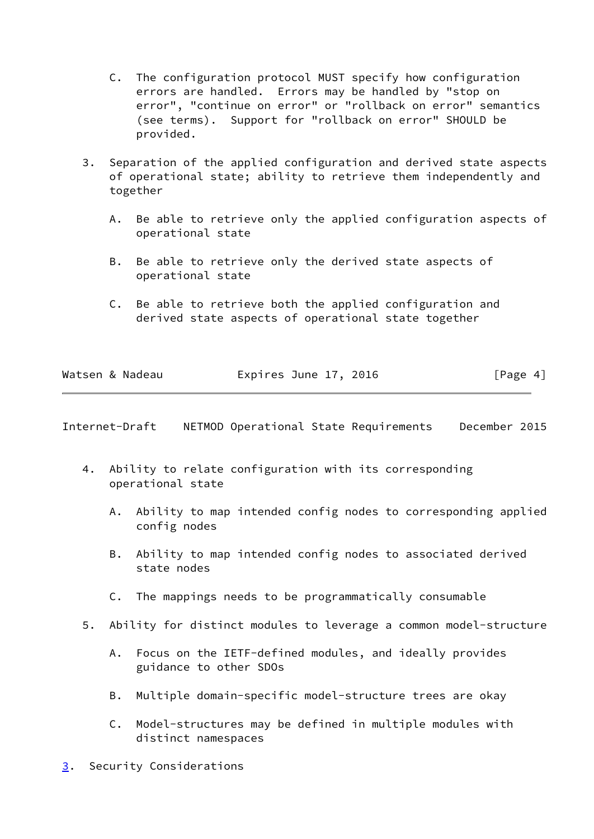- C. The configuration protocol MUST specify how configuration errors are handled. Errors may be handled by "stop on error", "continue on error" or "rollback on error" semantics (see terms). Support for "rollback on error" SHOULD be provided.
- 3. Separation of the applied configuration and derived state aspects of operational state; ability to retrieve them independently and together
	- A. Be able to retrieve only the applied configuration aspects of operational state
	- B. Be able to retrieve only the derived state aspects of operational state
	- C. Be able to retrieve both the applied configuration and derived state aspects of operational state together

|  | Watsen & Nadeau | Expires June 17, 2016 |  | [Page 4] |
|--|-----------------|-----------------------|--|----------|
|  |                 |                       |  |          |

<span id="page-4-1"></span>Internet-Draft NETMOD Operational State Requirements December 2015

- 4. Ability to relate configuration with its corresponding operational state
	- A. Ability to map intended config nodes to corresponding applied config nodes
	- B. Ability to map intended config nodes to associated derived state nodes
	- C. The mappings needs to be programmatically consumable
- 5. Ability for distinct modules to leverage a common model-structure
	- A. Focus on the IETF-defined modules, and ideally provides guidance to other SDOs
	- B. Multiple domain-specific model-structure trees are okay
	- C. Model-structures may be defined in multiple modules with distinct namespaces
- <span id="page-4-0"></span>[3](#page-4-0). Security Considerations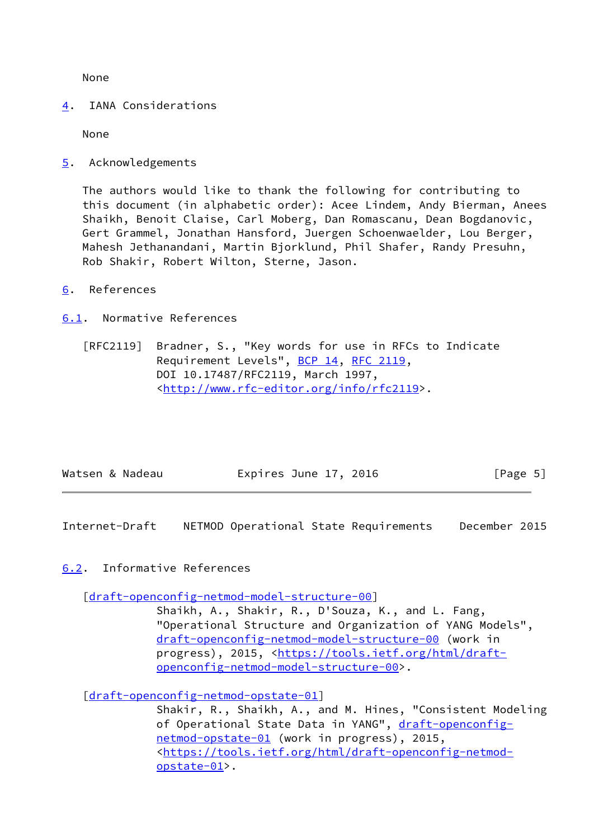None

<span id="page-5-0"></span>[4](#page-5-0). IANA Considerations

None

<span id="page-5-1"></span>[5](#page-5-1). Acknowledgements

 The authors would like to thank the following for contributing to this document (in alphabetic order): Acee Lindem, Andy Bierman, Anees Shaikh, Benoit Claise, Carl Moberg, Dan Romascanu, Dean Bogdanovic, Gert Grammel, Jonathan Hansford, Juergen Schoenwaelder, Lou Berger, Mahesh Jethanandani, Martin Bjorklund, Phil Shafer, Randy Presuhn, Rob Shakir, Robert Wilton, Sterne, Jason.

<span id="page-5-2"></span>[6](#page-5-2). References

<span id="page-5-3"></span>[6.1](#page-5-3). Normative References

 [RFC2119] Bradner, S., "Key words for use in RFCs to Indicate Requirement Levels", [BCP 14](https://datatracker.ietf.org/doc/pdf/bcp14), [RFC 2119](https://datatracker.ietf.org/doc/pdf/rfc2119), DOI 10.17487/RFC2119, March 1997, <<http://www.rfc-editor.org/info/rfc2119>>.

| [Page 5]<br>Expires June 17, 2016<br>Watsen & Nadeau |  |
|------------------------------------------------------|--|
|------------------------------------------------------|--|

<span id="page-5-5"></span>Internet-Draft NETMOD Operational State Requirements December 2015

<span id="page-5-4"></span>[6.2](#page-5-4). Informative References

[\[draft-openconfig-netmod-model-structure-00\]](https://datatracker.ietf.org/doc/pdf/draft-openconfig-netmod-model-structure-00)

 Shaikh, A., Shakir, R., D'Souza, K., and L. Fang, "Operational Structure and Organization of YANG Models", [draft-openconfig-netmod-model-structure-00](https://datatracker.ietf.org/doc/pdf/draft-openconfig-netmod-model-structure-00) (work in progress), 2015, [<https://tools.ietf.org/html/draft](https://tools.ietf.org/html/draft-openconfig-netmod-model-structure-00) [openconfig-netmod-model-structure-00>](https://tools.ietf.org/html/draft-openconfig-netmod-model-structure-00).

[\[draft-openconfig-netmod-opstate-01\]](https://datatracker.ietf.org/doc/pdf/draft-openconfig-netmod-opstate-01)

 Shakir, R., Shaikh, A., and M. Hines, "Consistent Modeling of Operational State Data in YANG", [draft-openconfig](https://datatracker.ietf.org/doc/pdf/draft-openconfig-netmod-opstate-01) [netmod-opstate-01](https://datatracker.ietf.org/doc/pdf/draft-openconfig-netmod-opstate-01) (work in progress), 2015, <[https://tools.ietf.org/html/draft-openconfig-netmod](https://tools.ietf.org/html/draft-openconfig-netmod-opstate-01)[opstate-01>](https://tools.ietf.org/html/draft-openconfig-netmod-opstate-01).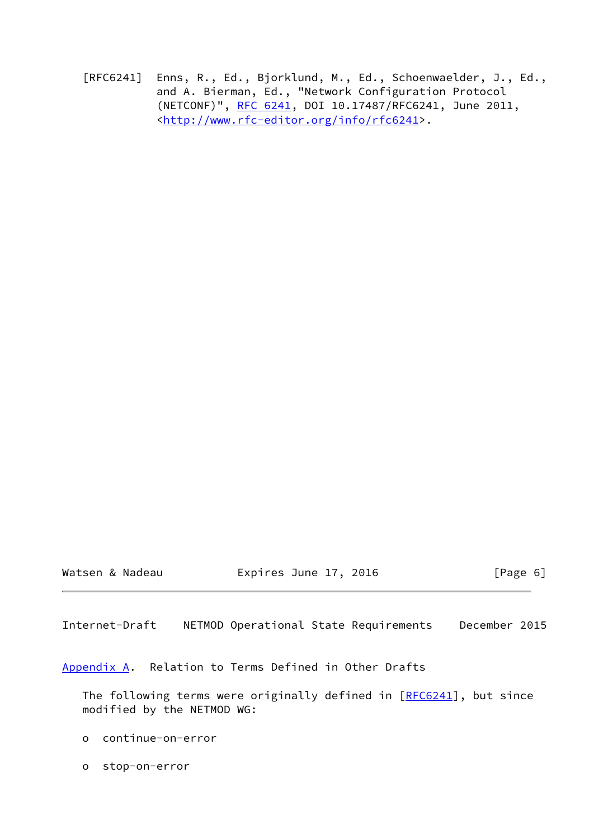[RFC6241] Enns, R., Ed., Bjorklund, M., Ed., Schoenwaelder, J., Ed., and A. Bierman, Ed., "Network Configuration Protocol (NETCONF)", [RFC 6241,](https://datatracker.ietf.org/doc/pdf/rfc6241) DOI 10.17487/RFC6241, June 2011, <<http://www.rfc-editor.org/info/rfc6241>>.

Watsen & Nadeau **Expires June 17, 2016** [Page 6]

<span id="page-6-1"></span>Internet-Draft NETMOD Operational State Requirements December 2015

<span id="page-6-0"></span>[Appendix A.](#page-6-0) Relation to Terms Defined in Other Drafts

The following terms were originally defined in [\[RFC6241](https://datatracker.ietf.org/doc/pdf/rfc6241)], but since modified by the NETMOD WG:

- o continue-on-error
- o stop-on-error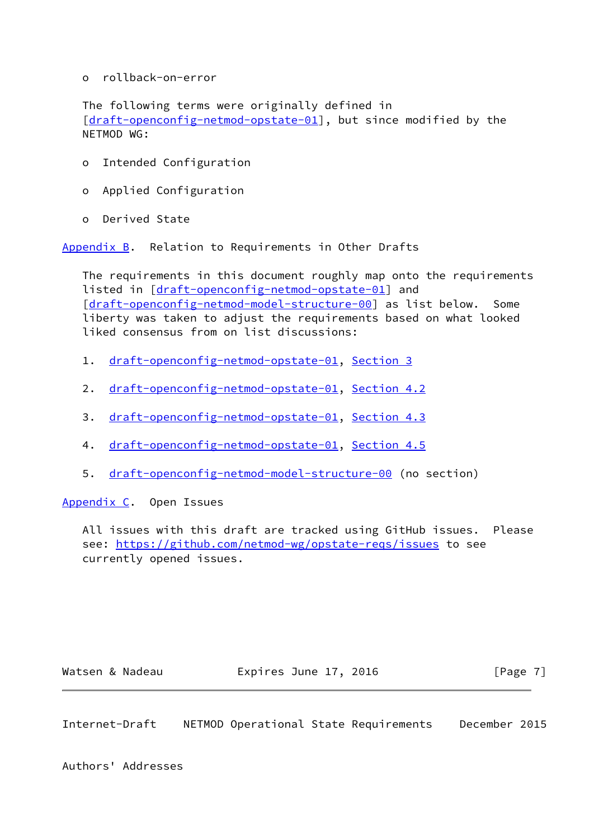o rollback-on-error

 The following terms were originally defined in [\[draft-openconfig-netmod-opstate-01\]](https://datatracker.ietf.org/doc/pdf/draft-openconfig-netmod-opstate-01), but since modified by the NETMOD WG:

- o Intended Configuration
- o Applied Configuration
- o Derived State

<span id="page-7-0"></span>[Appendix B.](#page-7-0) Relation to Requirements in Other Drafts

 The requirements in this document roughly map onto the requirements listed in [[draft-openconfig-netmod-opstate-01\]](https://datatracker.ietf.org/doc/pdf/draft-openconfig-netmod-opstate-01) and [\[draft-openconfig-netmod-model-structure-00\]](https://datatracker.ietf.org/doc/pdf/draft-openconfig-netmod-model-structure-00) as list below. Some liberty was taken to adjust the requirements based on what looked liked consensus from on list discussions:

- 1. [draft-openconfig-netmod-opstate-01,](https://datatracker.ietf.org/doc/pdf/draft-openconfig-netmod-opstate-01) [Section 3](#page-4-0)
- 2. [draft-openconfig-netmod-opstate-01,](https://datatracker.ietf.org/doc/pdf/draft-openconfig-netmod-opstate-01) Section 4.2
- 3. [draft-openconfig-netmod-opstate-01,](https://datatracker.ietf.org/doc/pdf/draft-openconfig-netmod-opstate-01) Section 4.3
- 4. [draft-openconfig-netmod-opstate-01,](https://datatracker.ietf.org/doc/pdf/draft-openconfig-netmod-opstate-01) Section 4.5
- 5. [draft-openconfig-netmod-model-structure-00](https://datatracker.ietf.org/doc/pdf/draft-openconfig-netmod-model-structure-00) (no section)

<span id="page-7-1"></span>[Appendix C.](#page-7-1) Open Issues

 All issues with this draft are tracked using GitHub issues. Please see:<https://github.com/netmod-wg/opstate-reqs/issues> to see currently opened issues.

Watsen & Nadeau **Expires June 17, 2016** [Page 7]

<span id="page-7-2"></span>Internet-Draft NETMOD Operational State Requirements December 2015